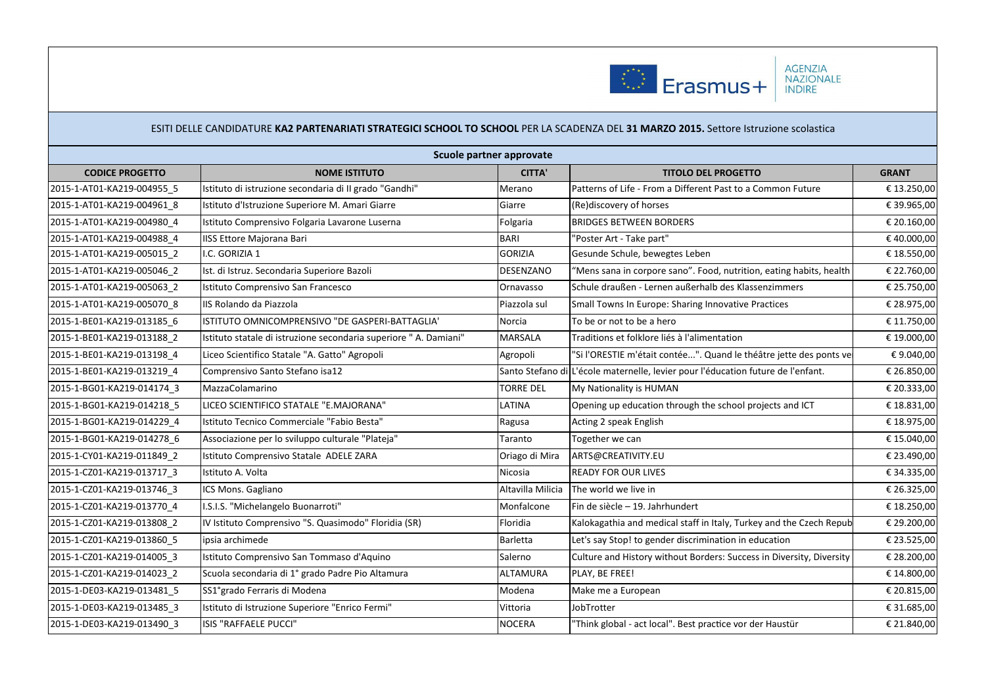

|                            |                                                                   | Scuole partner approvate |                                                                                  |              |
|----------------------------|-------------------------------------------------------------------|--------------------------|----------------------------------------------------------------------------------|--------------|
| <b>CODICE PROGETTO</b>     | <b>NOME ISTITUTO</b>                                              | <b>CITTA'</b>            | <b>TITOLO DEL PROGETTO</b>                                                       | <b>GRANT</b> |
| 2015-1-AT01-KA219-004955 5 | Istituto di istruzione secondaria di II grado "Gandhi"            | Merano                   | Patterns of Life - From a Different Past to a Common Future                      | € 13.250,00  |
| 2015-1-AT01-KA219-004961 8 | Istituto d'Istruzione Superiore M. Amari Giarre                   | Giarre                   | (Re)discovery of horses                                                          | € 39.965,00  |
| 2015-1-AT01-KA219-004980 4 | Istituto Comprensivo Folgaria Lavarone Luserna                    | Folgaria                 | <b>BRIDGES BETWEEN BORDERS</b>                                                   | € 20.160,00  |
| 2015-1-AT01-KA219-004988 4 | <b>IISS Ettore Majorana Bari</b>                                  | <b>BARI</b>              | "Poster Art - Take part"                                                         | €40.000,00   |
| 2015-1-AT01-KA219-005015 2 | I.C. GORIZIA 1                                                    | <b>GORIZIA</b>           | Gesunde Schule, bewegtes Leben                                                   | € 18.550,00  |
| 2015-1-AT01-KA219-005046 2 | Ist. di Istruz. Secondaria Superiore Bazoli                       | DESENZANO                | "Mens sana in corpore sano". Food, nutrition, eating habits, health              | € 22.760,00  |
| 2015-1-AT01-KA219-005063 2 | Istituto Comprensivo San Francesco                                | Ornavasso                | Schule draußen - Lernen außerhalb des Klassenzimmers                             | € 25.750,00  |
| 2015-1-AT01-KA219-005070 8 | IIS Rolando da Piazzola                                           | Piazzola sul             | Small Towns In Europe: Sharing Innovative Practices                              | € 28.975,00  |
| 2015-1-BE01-KA219-013185 6 | ISTITUTO OMNICOMPRENSIVO "DE GASPERI-BATTAGLIA"                   | Norcia                   | To be or not to be a hero                                                        | € 11.750,00  |
| 2015-1-BE01-KA219-013188 2 | Istituto statale di istruzione secondaria superiore " A. Damiani" | MARSALA                  | Traditions et folklore liés à l'alimentation                                     | €19.000,00   |
| 2015-1-BE01-KA219-013198 4 | Liceo Scientifico Statale "A. Gatto" Agropoli                     | Agropoli                 | "Si l'ORESTIE m'était contée". Quand le théâtre jette des ponts ve               | €9.040,00    |
| 2015-1-BE01-KA219-013219 4 | Comprensivo Santo Stefano isa12                                   |                          | Santo Stefano di L'école maternelle, levier pour l'éducation future de l'enfant. | € 26.850,00  |
| 2015-1-BG01-KA219-014174 3 | MazzaColamarino                                                   | <b>TORRE DEL</b>         | My Nationality is HUMAN                                                          | € 20.333,00  |
| 2015-1-BG01-KA219-014218 5 | LICEO SCIENTIFICO STATALE "E.MAJORANA"                            | LATINA                   | Opening up education through the school projects and ICT                         | € 18.831,00  |
| 2015-1-BG01-KA219-014229 4 | Istituto Tecnico Commerciale "Fabio Besta"                        | Ragusa                   | Acting 2 speak English                                                           | € 18.975,00  |
| 2015-1-BG01-KA219-014278 6 | Associazione per lo sviluppo culturale "Plateja"                  | Taranto                  | Together we can                                                                  | € 15.040,00  |
| 2015-1-CY01-KA219-011849 2 | Istituto Comprensivo Statale ADELE ZARA                           | Oriago di Mira           | ARTS@CREATIVITY.EU                                                               | € 23.490,00  |
| 2015-1-CZ01-KA219-013717 3 | Istituto A. Volta                                                 | Nicosia                  | <b>READY FOR OUR LIVES</b>                                                       | € 34.335,00  |
| 2015-1-CZ01-KA219-013746 3 | ICS Mons. Gagliano                                                | Altavilla Milicia        | The world we live in                                                             | € 26.325,00  |
| 2015-1-CZ01-KA219-013770_4 | I.S.I.S. "Michelangelo Buonarroti"                                | Monfalcone               | Fin de siècle - 19. Jahrhundert                                                  | € 18.250,00  |
| 2015-1-CZ01-KA219-013808 2 | IV Istituto Comprensivo "S. Quasimodo" Floridia (SR)              | Floridia                 | Kalokagathia and medical staff in Italy, Turkey and the Czech Repub              | € 29.200,00  |
| 2015-1-CZ01-KA219-013860 5 | ipsia archimede                                                   | <b>Barletta</b>          | Let's say Stop! to gender discrimination in education                            | € 23.525,00  |
| 2015-1-CZ01-KA219-014005 3 | Istituto Comprensivo San Tommaso d'Aquino                         | Salerno                  | Culture and History without Borders: Success in Diversity, Diversity             | € 28.200,00  |
| 2015-1-CZ01-KA219-014023_2 | Scuola secondaria di 1º grado Padre Pio Altamura                  | ALTAMURA                 | PLAY, BE FREE!                                                                   | € 14.800,00  |
| 2015-1-DE03-KA219-013481 5 | SS1°grado Ferraris di Modena                                      | Modena                   | Make me a European                                                               | € 20.815,00  |
| 2015-1-DE03-KA219-013485 3 | Istituto di Istruzione Superiore "Enrico Fermi"                   | Vittoria                 | JobTrotter                                                                       | € 31.685,00  |
| 2015-1-DE03-KA219-013490 3 | ISIS "RAFFAELE PUCCI"                                             | <b>NOCERA</b>            | "Think global - act local". Best practice vor der Haustür                        | € 21.840,00  |
|                            |                                                                   |                          |                                                                                  |              |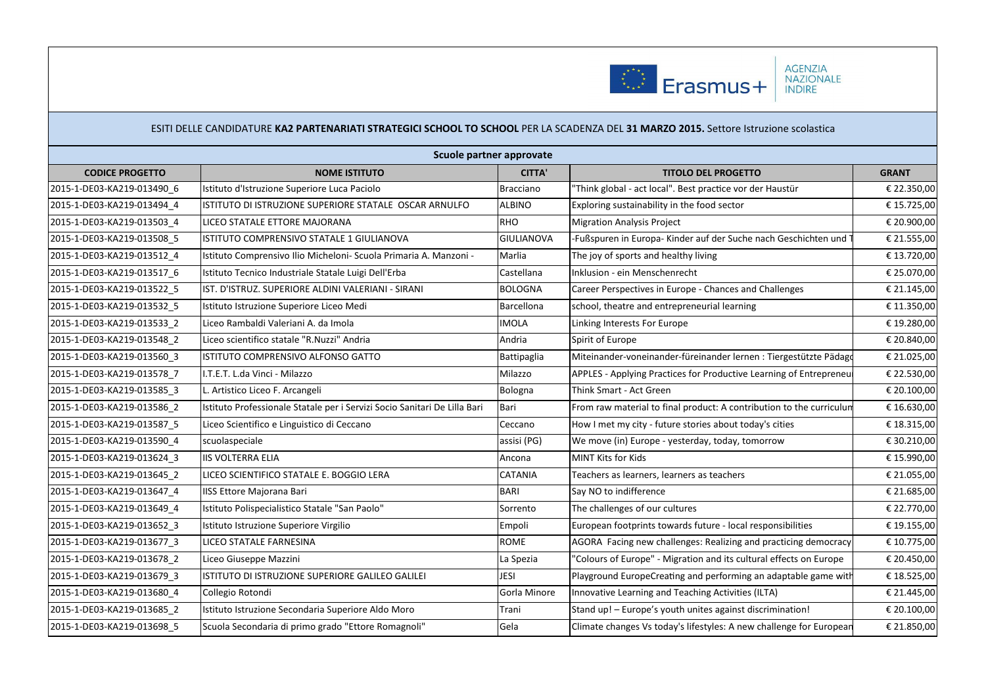

|                            | Scuole partner approvate                                                  |                   |                                                                      |              |  |  |
|----------------------------|---------------------------------------------------------------------------|-------------------|----------------------------------------------------------------------|--------------|--|--|
| <b>CODICE PROGETTO</b>     | <b>NOME ISTITUTO</b>                                                      | <b>CITTA'</b>     | <b>TITOLO DEL PROGETTO</b>                                           | <b>GRANT</b> |  |  |
| 2015-1-DE03-KA219-013490 6 | Istituto d'Istruzione Superiore Luca Paciolo                              | Bracciano         | 'Think global - act local". Best practice vor der Haustür            | € 22.350,00  |  |  |
| 2015-1-DE03-KA219-013494 4 | ISTITUTO DI ISTRUZIONE SUPERIORE STATALE OSCAR ARNULFO                    | <b>ALBINO</b>     | Exploring sustainability in the food sector                          | € 15.725,00  |  |  |
| 2015-1-DE03-KA219-013503 4 | LICEO STATALE ETTORE MAJORANA                                             | <b>RHO</b>        | <b>Migration Analysis Project</b>                                    | € 20.900,00  |  |  |
| 2015-1-DE03-KA219-013508 5 | ISTITUTO COMPRENSIVO STATALE 1 GIULIANOVA                                 | <b>GIULIANOVA</b> | Fußspuren in Europa- Kinder auf der Suche nach Geschichten und       | € 21.555,00  |  |  |
| 2015-1-DE03-KA219-013512 4 | Istituto Comprensivo Ilio Micheloni- Scuola Primaria A. Manzoni -         | Marlia            | The joy of sports and healthy living                                 | € 13.720,00  |  |  |
| 2015-1-DE03-KA219-013517 6 | Istituto Tecnico Industriale Statale Luigi Dell'Erba                      | Castellana        | Inklusion - ein Menschenrecht                                        | € 25.070,00  |  |  |
| 2015-1-DE03-KA219-013522_5 | IST. D'ISTRUZ. SUPERIORE ALDINI VALERIANI - SIRANI                        | <b>BOLOGNA</b>    | Career Perspectives in Europe - Chances and Challenges               | € 21.145,00  |  |  |
| 2015-1-DE03-KA219-013532_5 | Istituto Istruzione Superiore Liceo Medi                                  | Barcellona        | school, theatre and entrepreneurial learning                         | € 11.350,00  |  |  |
| 2015-1-DE03-KA219-013533_2 | Liceo Rambaldi Valeriani A. da Imola                                      | <b>IMOLA</b>      | Linking Interests For Europe                                         | € 19.280,00  |  |  |
| 2015-1-DE03-KA219-013548 2 | Liceo scientifico statale "R.Nuzzi" Andria                                | Andria            | Spirit of Europe                                                     | € 20.840,00  |  |  |
| 2015-1-DE03-KA219-013560 3 | ISTITUTO COMPRENSIVO ALFONSO GATTO                                        | Battipaglia       | Miteinander-voneinander-füreinander lernen : Tiergestützte Pädago    | € 21.025,00  |  |  |
| 2015-1-DE03-KA219-013578 7 | I.T.E.T. L.da Vinci - Milazzo                                             | Milazzo           | APPLES - Applying Practices for Productive Learning of Entrepreneu   | € 22.530,00  |  |  |
| 2015-1-DE03-KA219-013585 3 | Artistico Liceo F. Arcangeli                                              | Bologna           | Think Smart - Act Green                                              | € 20.100,00  |  |  |
| 2015-1-DE03-KA219-013586 2 | Istituto Professionale Statale per i Servizi Socio Sanitari De Lilla Bari | Bari              | From raw material to final product: A contribution to the curriculun | € 16.630,00  |  |  |
| 2015-1-DE03-KA219-013587_5 | Liceo Scientifico e Linguistico di Ceccano                                | Ceccano           | How I met my city - future stories about today's cities              | € 18.315,00  |  |  |
| 2015-1-DE03-KA219-013590_4 | scuolaspeciale                                                            | assisi (PG)       | We move (in) Europe - yesterday, today, tomorrow                     | € 30.210,00  |  |  |
| 2015-1-DE03-KA219-013624 3 | <b>IIS VOLTERRA ELIA</b>                                                  | Ancona            | MINT Kits for Kids                                                   | € 15.990,00  |  |  |
| 2015-1-DE03-KA219-013645_2 | LICEO SCIENTIFICO STATALE E. BOGGIO LERA                                  | <b>CATANIA</b>    | Teachers as learners, learners as teachers                           | € 21.055,00  |  |  |
| 2015-1-DE03-KA219-013647 4 | <b>IISS Ettore Majorana Bari</b>                                          | <b>BARI</b>       | Sav NO to indifference                                               | € 21.685,00  |  |  |
| 2015-1-DE03-KA219-013649 4 | Istituto Polispecialistico Statale "San Paolo"                            | Sorrento          | The challenges of our cultures                                       | € 22.770,00  |  |  |
| 2015-1-DE03-KA219-013652 3 | Istituto Istruzione Superiore Virgilio                                    | Empoli            | European footprints towards future - local responsibilities          | € 19.155,00  |  |  |
| 2015-1-DE03-KA219-013677_3 | LICEO STATALE FARNESINA                                                   | <b>ROME</b>       | AGORA Facing new challenges: Realizing and practicing democracy      | € 10.775,00  |  |  |
| 2015-1-DE03-KA219-013678 2 | Liceo Giuseppe Mazzini                                                    | La Spezia         | "Colours of Europe" - Migration and its cultural effects on Europe   | € 20.450,00  |  |  |
| 2015-1-DE03-KA219-013679_3 | ISTITUTO DI ISTRUZIONE SUPERIORE GALILEO GALILEI                          | <b>JESI</b>       | Playground EuropeCreating and performing an adaptable game with      | € 18.525,00  |  |  |
| 2015-1-DE03-KA219-013680_4 | Collegio Rotondi                                                          | Gorla Minore      | Innovative Learning and Teaching Activities (ILTA)                   | € 21.445,00  |  |  |
| 2015-1-DE03-KA219-013685 2 | Istituto Istruzione Secondaria Superiore Aldo Moro                        | Trani             | Stand up! - Europe's youth unites against discrimination!            | € 20.100,00  |  |  |
| 2015-1-DE03-KA219-013698_5 | Scuola Secondaria di primo grado "Ettore Romagnoli"                       | Gela              | Climate changes Vs today's lifestyles: A new challenge for European  | € 21.850,00  |  |  |
|                            |                                                                           |                   |                                                                      |              |  |  |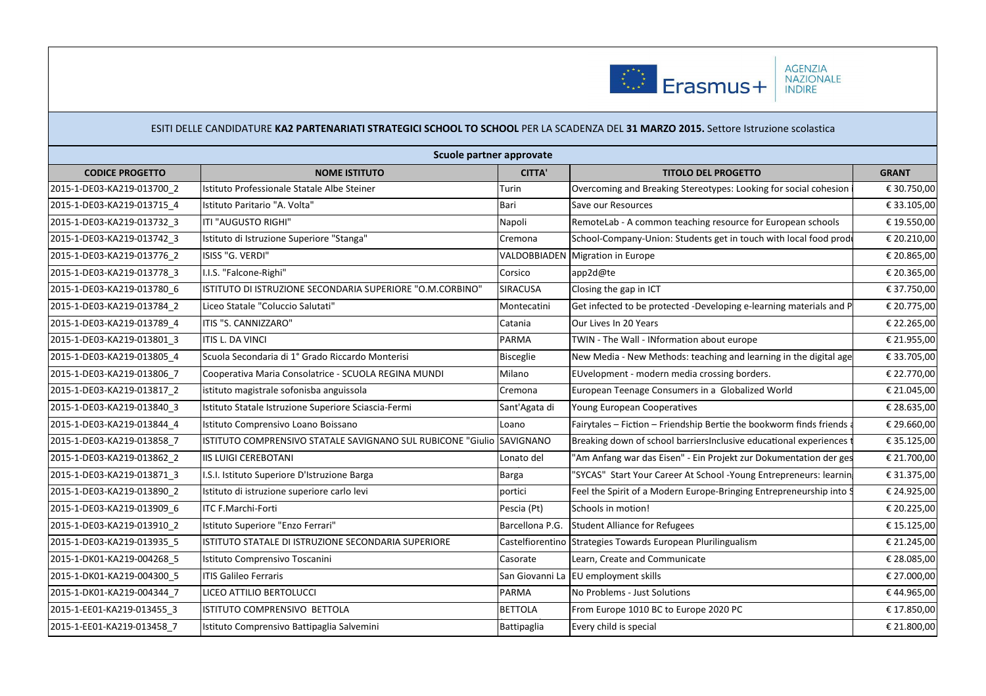

|                            | Scuole partner approvate                                              |                  |                                                                       |              |  |  |
|----------------------------|-----------------------------------------------------------------------|------------------|-----------------------------------------------------------------------|--------------|--|--|
| <b>CODICE PROGETTO</b>     | <b>NOME ISTITUTO</b>                                                  | <b>CITTA'</b>    | <b>TITOLO DEL PROGETTO</b>                                            | <b>GRANT</b> |  |  |
| 2015-1-DE03-KA219-013700 2 | Istituto Professionale Statale Albe Steiner                           | Turin            | Overcoming and Breaking Stereotypes: Looking for social cohesion      | € 30.750,00  |  |  |
| 2015-1-DE03-KA219-013715 4 | Istituto Paritario "A. Volta"                                         | Bari             | Save our Resources                                                    | € 33.105,00  |  |  |
| 2015-1-DE03-KA219-013732 3 | ITI "AUGUSTO RIGHI"                                                   | Napoli           | RemoteLab - A common teaching resource for European schools           | € 19.550,00  |  |  |
| 2015-1-DE03-KA219-013742 3 | Istituto di Istruzione Superiore "Stanga'                             | Cremona          | School-Company-Union: Students get in touch with local food produ     | € 20.210,00  |  |  |
| 2015-1-DE03-KA219-013776 2 | ISISS "G. VERDI"                                                      |                  | VALDOBBIADEN Migration in Europe                                      | € 20.865,00  |  |  |
| 2015-1-DE03-KA219-013778 3 | I.I.S. "Falcone-Righi"                                                | Corsico          | app2d@te                                                              | € 20.365,00  |  |  |
| 2015-1-DE03-KA219-013780 6 | ISTITUTO DI ISTRUZIONE SECONDARIA SUPERIORE "O.M.CORBINO"             | SIRACUSA         | Closing the gap in ICT                                                | € 37.750,00  |  |  |
| 2015-1-DE03-KA219-013784 2 | Liceo Statale "Coluccio Salutati"                                     | Montecatini      | Get infected to be protected -Developing e-learning materials and P   | € 20.775,00  |  |  |
| 2015-1-DE03-KA219-013789 4 | ITIS "S. CANNIZZARO"                                                  | Catania          | Our Lives In 20 Years                                                 | € 22.265,00  |  |  |
| 2015-1-DE03-KA219-013801 3 | <b>ITIS L. DA VINCI</b>                                               | <b>PARMA</b>     | TWIN - The Wall - INformation about europe                            | € 21.955,00  |  |  |
| 2015-1-DE03-KA219-013805_4 | Scuola Secondaria di 1º Grado Riccardo Monterisi                      | Bisceglie        | New Media - New Methods: teaching and learning in the digital age     | € 33.705,00  |  |  |
| 2015-1-DE03-KA219-013806 7 | Cooperativa Maria Consolatrice - SCUOLA REGINA MUNDI                  | Milano           | EUvelopment - modern media crossing borders.                          | € 22.770,00  |  |  |
| 2015-1-DE03-KA219-013817_2 | istituto magistrale sofonisba anguissola                              | Cremona          | European Teenage Consumers in a Globalized World                      | € 21.045,00  |  |  |
| 2015-1-DE03-KA219-013840_3 | Istituto Statale Istruzione Superiore Sciascia-Fermi                  | Sant'Agata di    | Young European Cooperatives                                           | € 28.635,00  |  |  |
| 2015-1-DE03-KA219-013844 4 | Istituto Comprensivo Loano Boissano                                   | Loano            | Fairytales – Fiction – Friendship Bertie the bookworm finds friends a | € 29.660,00  |  |  |
| 2015-1-DE03-KA219-013858 7 | ISTITUTO COMPRENSIVO STATALE SAVIGNANO SUL RUBICONE "Giulio SAVIGNANO |                  | Breaking down of school barriersInclusive educational experiences t   | € 35.125,00  |  |  |
| 2015-1-DE03-KA219-013862 2 | <b>IIS LUIGI CEREBOTANI</b>                                           | Lonato del       | 'Am Anfang war das Eisen" - Ein Projekt zur Dokumentation der ges     | € 21.700,00  |  |  |
| 2015-1-DE03-KA219-013871 3 | I.S.I. Istituto Superiore D'Istruzione Barga                          | Barga            | "SYCAS" Start Your Career At School -Young Entrepreneurs: learning    | € 31.375,00  |  |  |
| 2015-1-DE03-KA219-013890_2 | Istituto di istruzione superiore carlo levi                           | portici          | Feel the Spirit of a Modern Europe-Bringing Entrepreneurship into S   | € 24.925,00  |  |  |
| 2015-1-DE03-KA219-013909 6 | <b>ITC F.Marchi-Forti</b>                                             | Pescia (Pt)      | Schools in motion!                                                    | € 20.225,00  |  |  |
| 2015-1-DE03-KA219-013910 2 | Istituto Superiore "Enzo Ferrari"                                     | Barcellona P.G.  | <b>Student Alliance for Refugees</b>                                  | € 15.125,00  |  |  |
| 2015-1-DE03-KA219-013935 5 | IISTITUTO STATALE DI ISTRUZIONE SECONDARIA SUPERIORE                  | Castelfiorentino | Strategies Towards European Plurilingualism                           | € 21.245,00  |  |  |
| 2015-1-DK01-KA219-004268 5 | Istituto Comprensivo Toscanini                                        | Casorate         | Learn, Create and Communicate                                         | € 28.085,00  |  |  |
| 2015-1-DK01-KA219-004300_5 | <b>ITIS Galileo Ferraris</b>                                          | San Giovanni La  | EU employment skills                                                  | € 27.000,00  |  |  |
| 2015-1-DK01-KA219-004344 7 | LICEO ATTILIO BERTOLUCCI                                              | <b>PARMA</b>     | No Problems - Just Solutions                                          | €44.965,00   |  |  |
| 2015-1-EE01-KA219-013455 3 | ISTITUTO COMPRENSIVO BETTOLA                                          | <b>BETTOLA</b>   | From Europe 1010 BC to Europe 2020 PC                                 | € 17.850,00  |  |  |
| 2015-1-EE01-KA219-013458 7 | Istituto Comprensivo Battipaglia Salvemini                            | Battipaglia      | Every child is special                                                | € 21.800,00  |  |  |
|                            |                                                                       |                  |                                                                       |              |  |  |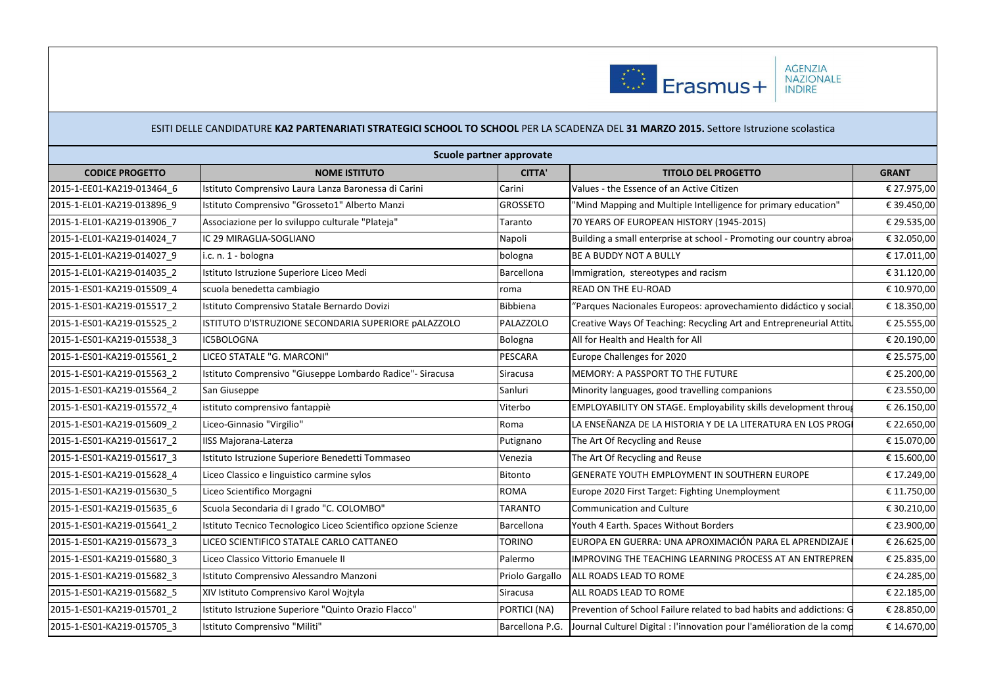

| Scuole partner approvate   |                                                                |                 |                                                                        |              |  |
|----------------------------|----------------------------------------------------------------|-----------------|------------------------------------------------------------------------|--------------|--|
| <b>CODICE PROGETTO</b>     | <b>NOME ISTITUTO</b>                                           | <b>CITTA'</b>   | <b>TITOLO DEL PROGETTO</b>                                             | <b>GRANT</b> |  |
| 2015-1-EE01-KA219-013464 6 | Istituto Comprensivo Laura Lanza Baronessa di Carini           | Carini          | Values - the Essence of an Active Citizen                              | € 27.975,00  |  |
| 2015-1-EL01-KA219-013896 9 | Istituto Comprensivo "Grosseto1" Alberto Manzi                 | <b>GROSSETO</b> | "Mind Mapping and Multiple Intelligence for primary education"         | € 39.450,00  |  |
| 2015-1-EL01-KA219-013906 7 | Associazione per lo sviluppo culturale "Plateja"               | Taranto         | 70 YEARS OF EUROPEAN HISTORY (1945-2015)                               | € 29.535,00  |  |
| 2015-1-EL01-KA219-014024 7 | IC 29 MIRAGLIA-SOGLIANO                                        | Napoli          | Building a small enterprise at school - Promoting our country abroa    | € 32.050,00  |  |
| 2015-1-EL01-KA219-014027 9 | i.c. n. 1 - bologna                                            | bologna         | BE A BUDDY NOT A BULLY                                                 | € 17.011,00  |  |
| 2015-1-EL01-KA219-014035 2 | Istituto Istruzione Superiore Liceo Medi                       | Barcellona      | Immigration, stereotypes and racism                                    | € 31.120,00  |  |
| 2015-1-ES01-KA219-015509_4 | scuola benedetta cambiagio                                     | oma             | READ ON THE EU-ROAD                                                    | € 10.970,00  |  |
| 2015-1-ES01-KA219-015517 2 | Istituto Comprensivo Statale Bernardo Dovizi                   | Bibbiena        | "Parques Nacionales Europeos: aprovechamiento didáctico y social       | € 18.350,00  |  |
| 2015-1-ES01-KA219-015525 2 | ISTITUTO D'ISTRUZIONE SECONDARIA SUPERIORE pALAZZOLO           | PALAZZOLO       | Creative Ways Of Teaching: Recycling Art and Entrepreneurial Attiti    | € 25.555,00  |  |
| 2015-1-ES01-KA219-015538 3 | IC5BOLOGNA                                                     | Bologna         | All for Health and Health for All                                      | € 20.190,00  |  |
| 2015-1-ES01-KA219-015561 2 | LICEO STATALE "G. MARCONI"                                     | PESCARA         | Europe Challenges for 2020                                             | € 25.575,00  |  |
| 2015-1-ES01-KA219-015563_2 | Istituto Comprensivo "Giuseppe Lombardo Radice"- Siracusa      | Siracusa        | MEMORY: A PASSPORT TO THE FUTURE                                       | € 25.200,00  |  |
| 2015-1-ES01-KA219-015564 2 | San Giuseppe                                                   | Sanluri         | Minority languages, good travelling companions                         | € 23.550,00  |  |
| 2015-1-ES01-KA219-015572 4 | istituto comprensivo fantappiè                                 | Viterbo         | EMPLOYABILITY ON STAGE. Employability skills development throug        | € 26.150,00  |  |
| 2015-1-ES01-KA219-015609 2 | Liceo-Ginnasio "Virgilio"                                      | Roma            | LA ENSEÑANZA DE LA HISTORIA Y DE LA LITERATURA EN LOS PROG             | € 22.650,00  |  |
| 2015-1-ES01-KA219-015617_2 | <b>IISS Majorana-Laterza</b>                                   | Putignano       | The Art Of Recycling and Reuse                                         | € 15.070,00  |  |
| 2015-1-ES01-KA219-015617 3 | Istituto Istruzione Superiore Benedetti Tommaseo               | Venezia         | The Art Of Recycling and Reuse                                         | € 15.600,00  |  |
| 2015-1-ES01-KA219-015628 4 | Liceo Classico e linguistico carmine sylos                     | Bitonto         | GENERATE YOUTH EMPLOYMENT IN SOUTHERN EUROPE                           | € 17.249,00  |  |
| 2015-1-ES01-KA219-015630 5 | Liceo Scientifico Morgagni                                     | ROMA            | Europe 2020 First Target: Fighting Unemployment                        | € 11.750,00  |  |
| 2015-1-ES01-KA219-015635 6 | Scuola Secondaria di I grado "C. COLOMBO"                      | <b>TARANTO</b>  | <b>Communication and Culture</b>                                       | € 30.210,00  |  |
| 2015-1-ES01-KA219-015641 2 | Istituto Tecnico Tecnologico Liceo Scientifico opzione Scienze | Barcellona      | Youth 4 Earth. Spaces Without Borders                                  | € 23.900,00  |  |
| 2015-1-ES01-KA219-015673 3 | LICEO SCIENTIFICO STATALE CARLO CATTANEO                       | <b>TORINO</b>   | EUROPA EN GUERRA: UNA APROXIMACIÓN PARA EL APRENDIZAJE                 | € 26.625,00  |  |
| 2015-1-ES01-KA219-015680 3 | Liceo Classico Vittorio Emanuele II                            | Palermo         | IMPROVING THE TEACHING LEARNING PROCESS AT AN ENTREPREN                | € 25.835,00  |  |
| 2015-1-ES01-KA219-015682 3 | Istituto Comprensivo Alessandro Manzoni                        | Priolo Gargallo | ALL ROADS LEAD TO ROME                                                 | € 24.285,00  |  |
| 2015-1-ES01-KA219-015682 5 | XIV Istituto Comprensivo Karol Wojtyla                         | <b>Siracusa</b> | ALL ROADS LEAD TO ROME                                                 | € 22.185,00  |  |
| 2015-1-ES01-KA219-015701 2 | Istituto Istruzione Superiore "Quinto Orazio Flacco"           | PORTICI (NA)    | Prevention of School Failure related to bad habits and addictions: G   | € 28.850,00  |  |
| 2015-1-ES01-KA219-015705 3 | Istituto Comprensivo "Militi"                                  | Barcellona P.G. | Journal Culturel Digital : l'innovation pour l'amélioration de la comp | € 14.670,00  |  |
|                            |                                                                |                 |                                                                        |              |  |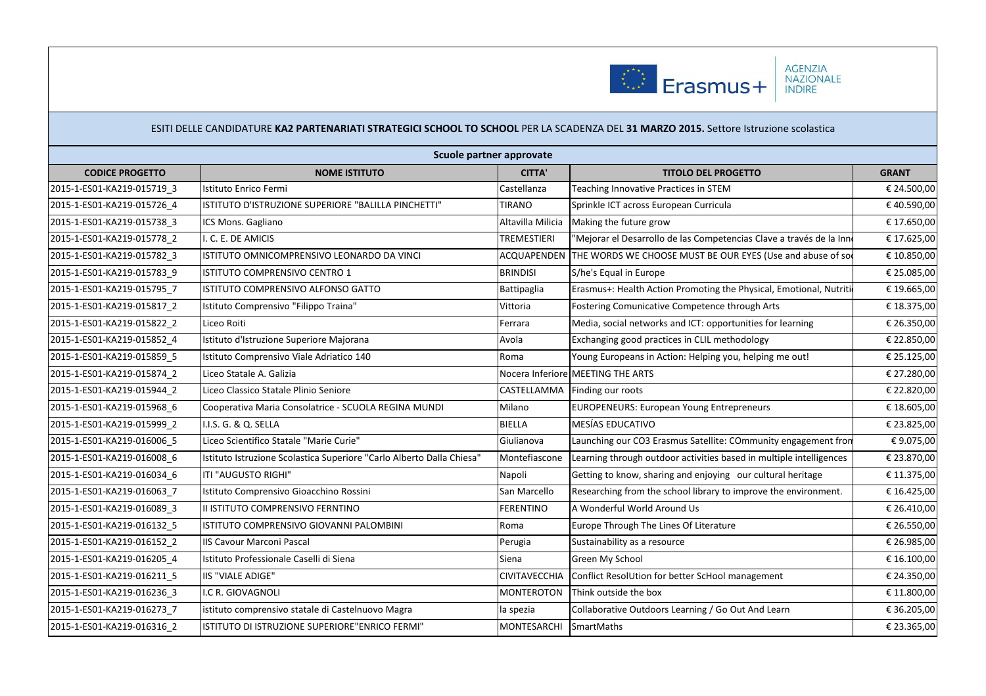

|                            | Scuole partner approvate                                              |                      |                                                                      |              |  |  |  |
|----------------------------|-----------------------------------------------------------------------|----------------------|----------------------------------------------------------------------|--------------|--|--|--|
| <b>CODICE PROGETTO</b>     | <b>NOME ISTITUTO</b>                                                  | <b>CITTA'</b>        | <b>TITOLO DEL PROGETTO</b>                                           | <b>GRANT</b> |  |  |  |
| 2015-1-ES01-KA219-015719 3 | Istituto Enrico Fermi                                                 | Castellanza          | Teaching Innovative Practices in STEM                                | € 24.500,00  |  |  |  |
| 2015-1-ES01-KA219-015726 4 | ISTITUTO D'ISTRUZIONE SUPERIORE "BALILLA PINCHETTI"                   | <b>TIRANO</b>        | Sprinkle ICT across European Curricula                               | €40.590,00   |  |  |  |
| 2015-1-ES01-KA219-015738 3 | ICS Mons. Gagliano                                                    | Altavilla Milicia    | Making the future grow                                               | € 17.650,00  |  |  |  |
| 2015-1-ES01-KA219-015778 2 | I. C. E. DE AMICIS                                                    | <b>TREMESTIERI</b>   | "Mejorar el Desarrollo de las Competencias Clave a través de la Inne | € 17.625,00  |  |  |  |
| 2015-1-ES01-KA219-015782 3 | ISTITUTO OMNICOMPRENSIVO LEONARDO DA VINCI                            | ACQUAPENDEN          | THE WORDS WE CHOOSE MUST BE OUR EYES (Use and abuse of sor           | € 10.850,00  |  |  |  |
| 2015-1-ES01-KA219-015783 9 | ISTITUTO COMPRENSIVO CENTRO 1                                         | <b>BRINDISI</b>      | S/he's Equal in Europe                                               | € 25.085,00  |  |  |  |
| 2015-1-ES01-KA219-015795_7 | ISTITUTO COMPRENSIVO ALFONSO GATTO                                    | Battipaglia          | Erasmus+: Health Action Promoting the Physical, Emotional, Nutriti   | € 19.665,00  |  |  |  |
| 2015-1-ES01-KA219-015817_2 | Istituto Comprensivo "Filippo Traina"                                 | Vittoria             | Fostering Comunicative Competence through Arts                       | € 18.375,00  |  |  |  |
| 2015-1-ES01-KA219-015822_2 | Liceo Roiti                                                           | Ferrara              | Media, social networks and ICT: opportunities for learning           | € 26.350,00  |  |  |  |
| 2015-1-ES01-KA219-015852 4 | Istituto d'Istruzione Superiore Majorana                              | Avola                | Exchanging good practices in CLIL methodology                        | € 22.850,00  |  |  |  |
| 2015-1-ES01-KA219-015859 5 | Istituto Comprensivo Viale Adriatico 140                              | Roma                 | Young Europeans in Action: Helping you, helping me out!              | € 25.125,00  |  |  |  |
| 2015-1-ES01-KA219-015874 2 | Liceo Statale A. Galizia                                              |                      | Nocera Inferiore MEETING THE ARTS                                    | € 27.280,00  |  |  |  |
| 2015-1-ES01-KA219-015944 2 | Liceo Classico Statale Plinio Seniore                                 |                      | CASTELLAMMA Finding our roots                                        | € 22.820,00  |  |  |  |
| 2015-1-ES01-KA219-015968 6 | Cooperativa Maria Consolatrice - SCUOLA REGINA MUNDI                  | Milano               | <b>EUROPENEURS: European Young Entrepreneurs</b>                     | € 18.605,00  |  |  |  |
| 2015-1-ES01-KA219-015999 2 | <b>II.I.S. G. &amp; Q. SELLA</b>                                      | BIELLA               | <b>MESÍAS EDUCATIVO</b>                                              | € 23.825,00  |  |  |  |
| 2015-1-ES01-KA219-016006 5 | Liceo Scientifico Statale "Marie Curie"                               | Giulianova           | Launching our CO3 Erasmus Satellite: COmmunity engagement fron       | €9.075,00    |  |  |  |
| 2015-1-ES01-KA219-016008 6 | Istituto Istruzione Scolastica Superiore "Carlo Alberto Dalla Chiesa" | Montefiascone        | Learning through outdoor activities based in multiple intelligences  | € 23.870,00  |  |  |  |
| 2015-1-ES01-KA219-016034 6 | ITI "AUGUSTO RIGHI"                                                   | Napoli               | Getting to know, sharing and enjoying our cultural heritage          | € 11.375,00  |  |  |  |
| 2015-1-ES01-KA219-016063 7 | Istituto Comprensivo Gioacchino Rossini                               | San Marcello         | Researching from the school library to improve the environment.      | € 16.425,00  |  |  |  |
| 2015-1-ES01-KA219-016089 3 | II ISTITUTO COMPRENSIVO FERNTINO                                      | FERENTINO            | A Wonderful World Around Us                                          | € 26.410,00  |  |  |  |
| 2015-1-ES01-KA219-016132 5 | ISTITUTO COMPRENSIVO GIOVANNI PALOMBINI                               | Roma                 | Europe Through The Lines Of Literature                               | € 26.550,00  |  |  |  |
| 2015-1-ES01-KA219-016152 2 | IIS Cavour Marconi Pascal                                             | Perugia              | Sustainability as a resource                                         | € 26.985,00  |  |  |  |
| 2015-1-ES01-KA219-016205_4 | Istituto Professionale Caselli di Siena                               | Siena                | Green My School                                                      | € 16.100,00  |  |  |  |
| 2015-1-ES01-KA219-016211 5 | <b>IIS "VIALE ADIGE"</b>                                              | <b>CIVITAVECCHIA</b> | Conflict ResolUtion for better ScHool management                     | € 24.350,00  |  |  |  |
| 2015-1-ES01-KA219-016236 3 | I.C R. GIOVAGNOLI                                                     | <b>MONTEROTON</b>    | Think outside the box                                                | € 11.800,00  |  |  |  |
| 2015-1-ES01-KA219-016273_7 | istituto comprensivo statale di Castelnuovo Magra                     | la spezia            | Collaborative Outdoors Learning / Go Out And Learn                   | € 36.205,00  |  |  |  |
| 2015-1-ES01-KA219-016316 2 | ISTITUTO DI ISTRUZIONE SUPERIORE"ENRICO FERMI"                        | <b>MONTESARCHI</b>   | SmartMaths                                                           | € 23.365,00  |  |  |  |
|                            |                                                                       |                      |                                                                      |              |  |  |  |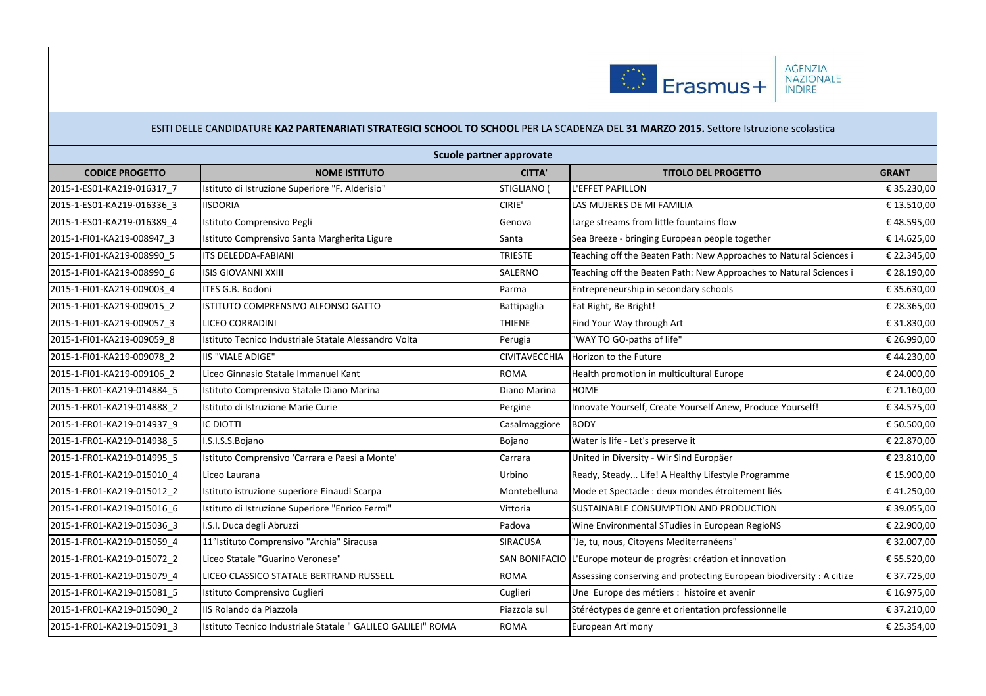

|                            | Scuole partner approvate                                     |                      |                                                                     |              |
|----------------------------|--------------------------------------------------------------|----------------------|---------------------------------------------------------------------|--------------|
| <b>CODICE PROGETTO</b>     | <b>NOME ISTITUTO</b>                                         | <b>CITTA'</b>        | <b>TITOLO DEL PROGETTO</b>                                          | <b>GRANT</b> |
| 2015-1-ES01-KA219-016317_7 | Istituto di Istruzione Superiore "F. Alderisio"              | STIGLIANO (          | L'EFFET PAPILLON                                                    | € 35.230,00  |
| 2015-1-ES01-KA219-016336 3 | <b>IISDORIA</b>                                              | CIRIE'               | LAS MUJERES DE MI FAMILIA                                           | € 13.510,00  |
| 2015-1-ES01-KA219-016389 4 | Istituto Comprensivo Pegli                                   | Genova               | Large streams from little fountains flow                            | €48.595,00   |
| 2015-1-FI01-KA219-008947 3 | Istituto Comprensivo Santa Margherita Ligure                 | Santa                | Sea Breeze - bringing European people together                      | € 14.625,00  |
| 2015-1-FI01-KA219-008990 5 | ITS DELEDDA-FABIANI                                          | <b>TRIESTE</b>       | Teaching off the Beaten Path: New Approaches to Natural Sciences    | € 22.345,00  |
| 2015-1-FI01-KA219-008990 6 | <b>ISIS GIOVANNI XXIII</b>                                   | SALERNO              | Teaching off the Beaten Path: New Approaches to Natural Sciences    | € 28.190,00  |
| 2015-1-FI01-KA219-009003 4 | ITES G.B. Bodoni                                             | Parma                | Entrepreneurship in secondary schools                               | € 35.630,00  |
| 2015-1-FI01-KA219-009015 2 | ISTITUTO COMPRENSIVO ALFONSO GATTO                           | Battipaglia          | Eat Right, Be Bright!                                               | € 28.365,00  |
| 2015-1-FI01-KA219-009057 3 | LICEO CORRADINI                                              | <b>THIENE</b>        | Find Your Way through Art                                           | € 31.830,00  |
| 2015-1-FI01-KA219-009059 8 | Istituto Tecnico Industriale Statale Alessandro Volta        | Perugia              | "WAY TO GO-paths of life"                                           | € 26.990,00  |
| 2015-1-FI01-KA219-009078 2 | <b>IIS "VIALE ADIGE"</b>                                     | <b>CIVITAVECCHIA</b> | Horizon to the Future                                               | €44.230,00   |
| 2015-1-FI01-KA219-009106 2 | Liceo Ginnasio Statale Immanuel Kant                         | <b>ROMA</b>          | Health promotion in multicultural Europe                            | € 24.000,00  |
| 2015-1-FR01-KA219-014884 5 | Istituto Comprensivo Statale Diano Marina                    | Diano Marina         | <b>HOME</b>                                                         | € 21.160,00  |
| 2015-1-FR01-KA219-014888 2 | Istituto di Istruzione Marie Curie                           | Pergine              | Innovate Yourself, Create Yourself Anew, Produce Yourself!          | € 34.575,00  |
| 2015-1-FR01-KA219-014937 9 | <b>IC DIOTTI</b>                                             | Casalmaggiore        | <b>BODY</b>                                                         | € 50.500,00  |
| 2015-1-FR01-KA219-014938 5 | I.S.I.S.S.Bojano                                             | Bojano               | Water is life - Let's preserve it                                   | € 22.870,00  |
| 2015-1-FR01-KA219-014995 5 | Istituto Comprensivo 'Carrara e Paesi a Monte'               | Carrara              | United in Diversity - Wir Sind Europäer                             | € 23.810,00  |
| 2015-1-FR01-KA219-015010 4 | Liceo Laurana                                                | Urbino               | Ready, Steady Life! A Healthy Lifestyle Programme                   | € 15.900,00  |
| 2015-1-FR01-KA219-015012 2 | Istituto istruzione superiore Einaudi Scarpa                 | Montebelluna         | Mode et Spectacle : deux mondes étroitement liés                    | €41.250,00   |
| 2015-1-FR01-KA219-015016 6 | Istituto di Istruzione Superiore "Enrico Fermi"              | Vittoria             | SUSTAINABLE CONSUMPTION AND PRODUCTION                              | € 39.055,00  |
| 2015-1-FR01-KA219-015036 3 | I.S.I. Duca degli Abruzzi                                    | Padova               | Wine Environmental STudies in European RegioNS                      | € 22.900,00  |
| 2015-1-FR01-KA219-015059 4 | 11°Istituto Comprensivo "Archia" Siracusa                    | <b>SIRACUSA</b>      | "Je, tu, nous, Citoyens Mediterranéens"                             | € 32.007,00  |
| 2015-1-FR01-KA219-015072_2 | Liceo Statale "Guarino Veronese"                             |                      | SAN BONIFACIO L'Europe moteur de progrès: création et innovation    | € 55.520,00  |
| 2015-1-FR01-KA219-015079 4 | LICEO CLASSICO STATALE BERTRAND RUSSELL                      | <b>ROMA</b>          | Assessing conserving and protecting European biodiversity: A citize | € 37.725,00  |
| 2015-1-FR01-KA219-015081 5 | Istituto Comprensivo Cuglieri                                | Cuglieri             | Une Europe des métiers : histoire et avenir                         | € 16.975,00  |
| 2015-1-FR01-KA219-015090 2 | IIS Rolando da Piazzola                                      | Piazzola sul         | Stéréotypes de genre et orientation professionnelle                 | € 37.210,00  |
| 2015-1-FR01-KA219-015091_3 | Istituto Tecnico Industriale Statale " GALILEO GALILEI" ROMA | <b>ROMA</b>          | European Art'mony                                                   | € 25.354,00  |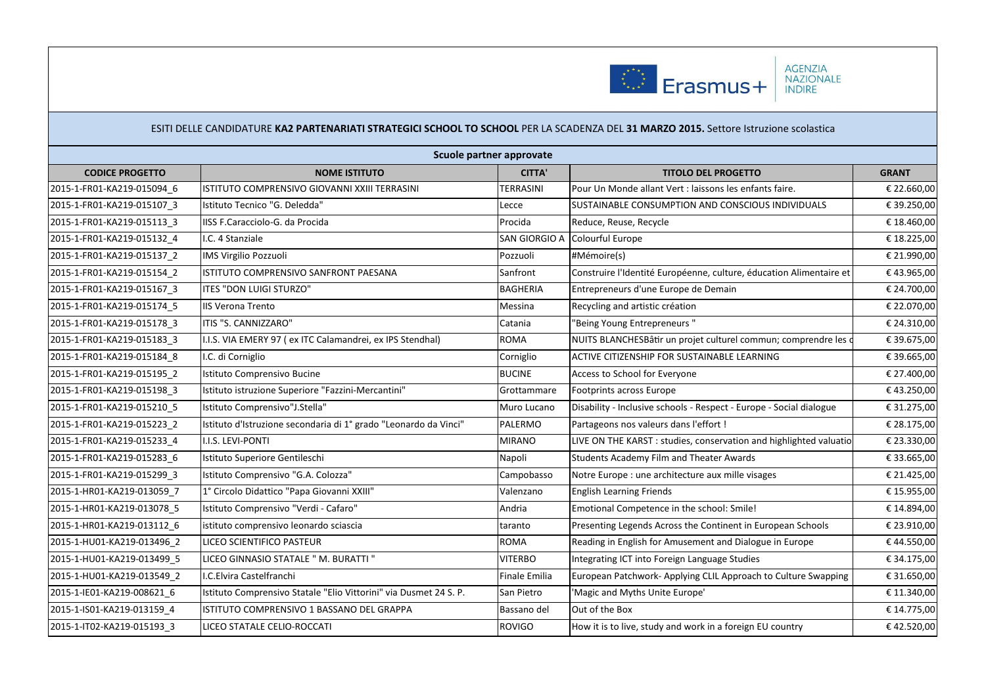

|                            | Scuole partner approvate                                          |                 |                                                                     |              |  |  |  |  |  |
|----------------------------|-------------------------------------------------------------------|-----------------|---------------------------------------------------------------------|--------------|--|--|--|--|--|
| <b>CODICE PROGETTO</b>     | <b>NOME ISTITUTO</b>                                              |                 | <b>TITOLO DEL PROGETTO</b>                                          | <b>GRANT</b> |  |  |  |  |  |
| 2015-1-FR01-KA219-015094 6 | ISTITUTO COMPRENSIVO GIOVANNI XXIII TERRASINI                     | TERRASINI       | Pour Un Monde allant Vert : laissons les enfants faire.             | € 22.660,00  |  |  |  |  |  |
| 2015-1-FR01-KA219-015107 3 | Istituto Tecnico "G. Deledda"                                     | Lecce           | SUSTAINABLE CONSUMPTION AND CONSCIOUS INDIVIDUALS                   | € 39.250,00  |  |  |  |  |  |
| 2015-1-FR01-KA219-015113 3 | IISS F.Caracciolo-G. da Procida                                   | Procida         | Reduce, Reuse, Recycle                                              | €18.460,00   |  |  |  |  |  |
| 2015-1-FR01-KA219-015132 4 | I.C. 4 Stanziale                                                  | SAN GIORGIO A   | Colourful Europe                                                    | € 18.225,00  |  |  |  |  |  |
| 2015-1-FR01-KA219-015137 2 | <b>IMS Virgilio Pozzuoli</b>                                      | Pozzuoli        | #Mémoire(s)                                                         | € 21.990,00  |  |  |  |  |  |
| 2015-1-FR01-KA219-015154 2 | ISTITUTO COMPRENSIVO SANFRONT PAESANA                             | Sanfront        | Construire l'Identité Européenne, culture, éducation Alimentaire et | €43.965,00   |  |  |  |  |  |
| 2015-1-FR01-KA219-015167 3 | <b>ITES "DON LUIGI STURZO"</b>                                    | <b>BAGHERIA</b> | Entrepreneurs d'une Europe de Demain                                | € 24.700,00  |  |  |  |  |  |
| 2015-1-FR01-KA219-015174 5 | <b>IIS Verona Trento</b>                                          | Messina         | Recycling and artistic création                                     | € 22.070,00  |  |  |  |  |  |
| 2015-1-FR01-KA219-015178 3 | ITIS "S. CANNIZZARO"                                              | Catania         | "Being Young Entrepreneurs"                                         | € 24.310,00  |  |  |  |  |  |
| 2015-1-FR01-KA219-015183 3 | I.I.S. VIA EMERY 97 (ex ITC Calamandrei, ex IPS Stendhal)         | <b>ROMA</b>     | NUITS BLANCHESBâtir un projet culturel commun; comprendre les d     | € 39.675,00  |  |  |  |  |  |
| 2015-1-FR01-KA219-015184 8 | I.C. di Corniglio                                                 | Corniglio       | ACTIVE CITIZENSHIP FOR SUSTAINABLE LEARNING                         | € 39.665,00  |  |  |  |  |  |
| 2015-1-FR01-KA219-015195 2 | Istituto Comprensivo Bucine                                       | <b>BUCINE</b>   | Access to School for Everyone                                       | € 27.400,00  |  |  |  |  |  |
| 2015-1-FR01-KA219-015198 3 | Istituto istruzione Superiore "Fazzini-Mercantini"                | Grottammare     | <b>Footprints across Europe</b>                                     | €43.250,00   |  |  |  |  |  |
| 2015-1-FR01-KA219-015210 5 | Istituto Comprensivo"J.Stella"                                    | Muro Lucano     | Disability - Inclusive schools - Respect - Europe - Social dialogue | € 31.275,00  |  |  |  |  |  |
| 2015-1-FR01-KA219-015223 2 | Istituto d'Istruzione secondaria di 1º grado "Leonardo da Vinci"  | PALERMO         | Partageons nos valeurs dans l'effort !                              | € 28.175,00  |  |  |  |  |  |
| 2015-1-FR01-KA219-015233 4 | I.I.S. LEVI-PONTI                                                 | <b>MIRANO</b>   | LIVE ON THE KARST : studies, conservation and highlighted valuatio  | € 23.330,00  |  |  |  |  |  |
| 2015-1-FR01-KA219-015283 6 | Istituto Superiore Gentileschi                                    | Napoli          | Students Academy Film and Theater Awards                            | € 33.665,00  |  |  |  |  |  |
| 2015-1-FR01-KA219-015299 3 | Istituto Comprensivo "G.A. Colozza"                               | Campobasso      | Notre Europe : une architecture aux mille visages                   | € 21.425,00  |  |  |  |  |  |
| 2015-1-HR01-KA219-013059 7 | 1° Circolo Didattico "Papa Giovanni XXIII"                        | Valenzano       | <b>English Learning Friends</b>                                     | € 15.955,00  |  |  |  |  |  |
| 2015-1-HR01-KA219-013078_5 | Istituto Comprensivo "Verdi - Cafaro"                             | Andria          | Emotional Competence in the school: Smile!                          | € 14.894,00  |  |  |  |  |  |
| 2015-1-HR01-KA219-013112_6 | istituto comprensivo leonardo sciascia                            | taranto         | Presenting Legends Across the Continent in European Schools         | € 23.910,00  |  |  |  |  |  |
| 2015-1-HU01-KA219-013496 2 | LICEO SCIENTIFICO PASTEUR                                         | <b>ROMA</b>     | Reading in English for Amusement and Dialogue in Europe             | €44.550,00   |  |  |  |  |  |
| 2015-1-HU01-KA219-013499_5 | LICEO GINNASIO STATALE " M. BURATTI "                             | <b>VITERBO</b>  | Integrating ICT into Foreign Language Studies                       | € 34.175,00  |  |  |  |  |  |
| 2015-1-HU01-KA219-013549 2 | I.C.Elvira Castelfranchi                                          | Finale Emilia   | European Patchwork- Applying CLIL Approach to Culture Swapping      | € 31.650,00  |  |  |  |  |  |
| 2015-1-IE01-KA219-008621_6 | Istituto Comprensivo Statale "Elio Vittorini" via Dusmet 24 S. P. | San Pietro      | 'Magic and Myths Unite Europe'                                      | € 11.340,00  |  |  |  |  |  |
| 2015-1-IS01-KA219-013159_4 | ISTITUTO COMPRENSIVO 1 BASSANO DEL GRAPPA                         | Bassano del     | Out of the Box                                                      | € 14.775,00  |  |  |  |  |  |
| 2015-1-IT02-KA219-015193 3 | LICEO STATALE CELIO-ROCCATI                                       | <b>ROVIGO</b>   | How it is to live, study and work in a foreign EU country           | €42.520,00   |  |  |  |  |  |
|                            |                                                                   |                 |                                                                     |              |  |  |  |  |  |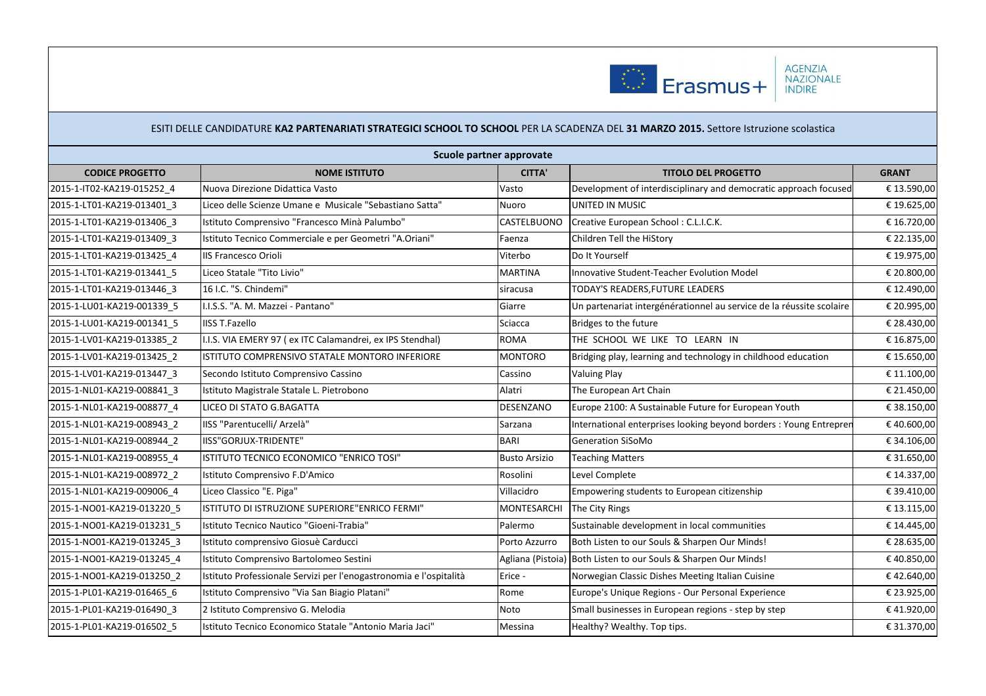

|                            |                                                                    | Scuole partner approvate |                                                                      |              |
|----------------------------|--------------------------------------------------------------------|--------------------------|----------------------------------------------------------------------|--------------|
| <b>CODICE PROGETTO</b>     | <b>NOME ISTITUTO</b>                                               | <b>CITTA'</b>            | <b>TITOLO DEL PROGETTO</b>                                           | <b>GRANT</b> |
| 2015-1-IT02-KA219-015252 4 | Nuova Direzione Didattica Vasto                                    | Vasto                    | Development of interdisciplinary and democratic approach focused     | € 13.590,00  |
| 2015-1-LT01-KA219-013401_3 | Liceo delle Scienze Umane e Musicale "Sebastiano Satta"            | Nuoro                    | UNITED IN MUSIC                                                      | € 19.625,00  |
| 2015-1-LT01-KA219-013406 3 | Istituto Comprensivo "Francesco Minà Palumbo"                      | CASTELBUONO              | Creative European School: C.L.I.C.K.                                 | € 16.720,00  |
| 2015-1-LT01-KA219-013409 3 | Istituto Tecnico Commerciale e per Geometri "A.Oriani"             | Faenza                   | Children Tell the HiStory                                            | € 22.135,00  |
| 2015-1-LT01-KA219-013425 4 | <b>IIS Francesco Orioli</b>                                        | Viterbo                  | Do It Yourself                                                       | € 19.975,00  |
| 2015-1-LT01-KA219-013441 5 | Liceo Statale "Tito Livio"                                         | <b>MARTINA</b>           | Innovative Student-Teacher Evolution Model                           | € 20.800,00  |
| 2015-1-LT01-KA219-013446 3 | 16 I.C. "S. Chindemi"                                              | siracusa                 | TODAY'S READERS, FUTURE LEADERS                                      | € 12.490,00  |
| 2015-1-LU01-KA219-001339 5 | I.I.S.S. "A. M. Mazzei - Pantano"                                  | Giarre                   | Un partenariat intergénérationnel au service de la réussite scolaire | € 20.995,00  |
| 2015-1-LU01-KA219-001341 5 | <b>IISS T.Fazello</b>                                              | Sciacca                  | Bridges to the future                                                | € 28.430,00  |
| 2015-1-LV01-KA219-013385 2 | I.I.S. VIA EMERY 97 (ex ITC Calamandrei, ex IPS Stendhal)          | <b>ROMA</b>              | THE SCHOOL WE LIKE TO LEARN IN                                       | € 16.875,00  |
| 2015-1-LV01-KA219-013425 2 | ISTITUTO COMPRENSIVO STATALE MONTORO INFERIORE                     | <b>MONTORO</b>           | Bridging play, learning and technology in childhood education        | € 15.650,00  |
| 2015-1-LV01-KA219-013447_3 | Secondo Istituto Comprensivo Cassino                               | Cassino                  | <b>Valuing Play</b>                                                  | € 11.100,00  |
| 2015-1-NL01-KA219-008841 3 | Istituto Magistrale Statale L. Pietrobono                          | Alatri                   | The European Art Chain                                               | € 21.450,00  |
| 2015-1-NL01-KA219-008877_4 | LICEO DI STATO G.BAGATTA                                           | DESENZANO                | Europe 2100: A Sustainable Future for European Youth                 | € 38.150,00  |
| 2015-1-NL01-KA219-008943 2 | IISS "Parentucelli/ Arzelà"                                        | Sarzana                  | International enterprises looking beyond borders: Young Entreprer    | €40.600,00   |
| 2015-1-NL01-KA219-008944 2 | IISS"GORJUX-TRIDENTE"                                              | <b>BARI</b>              | <b>Generation SiSoMo</b>                                             | € 34.106,00  |
| 2015-1-NL01-KA219-008955 4 | ISTITUTO TECNICO ECONOMICO "ENRICO TOSI"                           | <b>Busto Arsizio</b>     | <b>Teaching Matters</b>                                              | € 31.650,00  |
| 2015-1-NL01-KA219-008972 2 | Istituto Comprensivo F.D'Amico                                     | Rosolini                 | Level Complete                                                       | € 14.337,00  |
| 2015-1-NL01-KA219-009006 4 | Liceo Classico "E. Piga"                                           | Villacidro               | Empowering students to European citizenship                          | € 39.410,00  |
| 2015-1-NO01-KA219-013220 5 | ISTITUTO DI ISTRUZIONE SUPERIORE"ENRICO FERMI"                     | <b>MONTESARCHI</b>       | The City Rings                                                       | € 13.115,00  |
| 2015-1-NO01-KA219-013231 5 | Istituto Tecnico Nautico "Gioeni-Trabia"                           | Palermo                  | Sustainable development in local communities                         | € 14.445,00  |
| 2015-1-NO01-KA219-013245 3 | Istituto comprensivo Giosuè Carducci                               | Porto Azzurro            | Both Listen to our Souls & Sharpen Our Minds!                        | € 28.635,00  |
| 2015-1-NO01-KA219-013245_4 | Istituto Comprensivo Bartolomeo Sestini                            |                          | Agliana (Pistoia) Both Listen to our Souls & Sharpen Our Minds!      | €40.850,00   |
| 2015-1-NO01-KA219-013250 2 | Istituto Professionale Servizi per l'enogastronomia e l'ospitalità | Erice -                  | Norwegian Classic Dishes Meeting Italian Cuisine                     | €42.640,00   |
| 2015-1-PL01-KA219-016465_6 | Istituto Comprensivo "Via San Biagio Platani"                      | Rome                     | Europe's Unique Regions - Our Personal Experience                    | € 23.925,00  |
| 2015-1-PL01-KA219-016490_3 | 2 Istituto Comprensivo G. Melodia                                  | Noto                     | Small businesses in European regions - step by step                  | €41.920,00   |
| 2015-1-PL01-KA219-016502_5 | Istituto Tecnico Economico Statale "Antonio Maria Jaci"            | Messina                  | Healthy? Wealthy. Top tips.                                          | € 31.370,00  |
|                            |                                                                    |                          |                                                                      |              |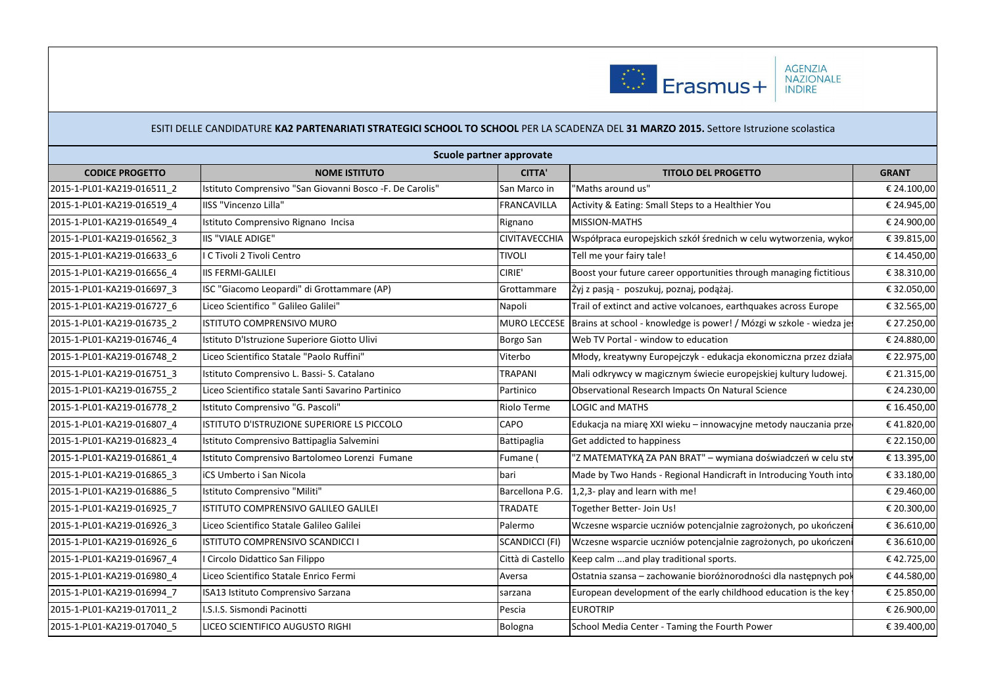

| Scuole partner approvate   |                                                           |                       |                                                                     |              |  |
|----------------------------|-----------------------------------------------------------|-----------------------|---------------------------------------------------------------------|--------------|--|
| <b>CODICE PROGETTO</b>     | <b>NOME ISTITUTO</b>                                      | <b>CITTA'</b>         | <b>TITOLO DEL PROGETTO</b>                                          | <b>GRANT</b> |  |
| 2015-1-PL01-KA219-016511 2 | Istituto Comprensivo "San Giovanni Bosco - F. De Carolis" | San Marco in          | 'Maths around us"                                                   | € 24.100,00  |  |
| 2015-1-PL01-KA219-016519 4 | IISS "Vincenzo Lilla"                                     | <b>FRANCAVILLA</b>    | Activity & Eating: Small Steps to a Healthier You                   | € 24.945,00  |  |
| 2015-1-PL01-KA219-016549 4 | Istituto Comprensivo Rignano Incisa                       | Rignano               | MISSION-MATHS                                                       | € 24.900,00  |  |
| 2015-1-PL01-KA219-016562 3 | IIS "VIALE ADIGE"                                         | <b>CIVITAVECCHIA</b>  | Współpraca europejskich szkół średnich w celu wytworzenia, wykor    | € 39.815,00  |  |
| 2015-1-PL01-KA219-016633 6 | I C Tivoli 2 Tivoli Centro                                | <b>TIVOLI</b>         | Tell me your fairy tale!                                            | € 14.450,00  |  |
| 2015-1-PL01-KA219-016656 4 | <b>IIS FERMI-GALILEI</b>                                  | CIRIE'                | Boost your future career opportunities through managing fictitious  | € 38.310,00  |  |
| 2015-1-PL01-KA219-016697 3 | ISC "Giacomo Leopardi" di Grottammare (AP)                | Grottammare           | Żyj z pasją - poszukuj, poznaj, podążaj.                            | € 32.050,00  |  |
| 2015-1-PL01-KA219-016727 6 | Liceo Scientifico " Galileo Galilei"                      | Napoli                | Trail of extinct and active volcanoes, earthquakes across Europe    | € 32.565,00  |  |
| 2015-1-PL01-KA219-016735 2 | ISTITUTO COMPRENSIVO MURO                                 | <b>MURO LECCESE</b>   | Brains at school - knowledge is power! / Mózgi w szkole - wiedza je | € 27.250,00  |  |
| 2015-1-PL01-KA219-016746 4 | Istituto D'Istruzione Superiore Giotto Ulivi              | Borgo San             | Web TV Portal - window to education                                 | € 24.880,00  |  |
| 2015-1-PL01-KA219-016748 2 | Liceo Scientifico Statale "Paolo Ruffini"                 | Viterbo               | Młody, kreatywny Europejczyk - edukacja ekonomiczna przez działa    | € 22.975,00  |  |
| 2015-1-PL01-KA219-016751 3 | Istituto Comprensivo L. Bassi- S. Catalano                | <b>TRAPANI</b>        | Mali odkrywcy w magicznym świecie europejskiej kultury ludowej.     | € 21.315,00  |  |
| 2015-1-PL01-KA219-016755 2 | Liceo Scientifico statale Santi Savarino Partinico        | Partinico             | Observational Research Impacts On Natural Science                   | € 24.230,00  |  |
| 2015-1-PL01-KA219-016778 2 | Istituto Comprensivo "G. Pascoli"                         | Riolo Terme           | LOGIC and MATHS                                                     | € 16.450,00  |  |
| 2015-1-PL01-KA219-016807 4 | ISTITUTO D'ISTRUZIONE SUPERIORE LS PICCOLO                | CAPO                  | Edukacja na miarę XXI wieku - innowacyjne metody nauczania prze     | €41.820,00   |  |
| 2015-1-PL01-KA219-016823 4 | Istituto Comprensivo Battipaglia Salvemini                | Battipaglia           | Get addicted to happiness                                           | € 22.150,00  |  |
| 2015-1-PL01-KA219-016861 4 | Istituto Comprensivo Bartolomeo Lorenzi Fumane            | Fumane (              | "Z MATEMATYKĄ ZA PAN BRAT" - wymiana doświadczeń w celu stv         | € 13.395,00  |  |
| 2015-1-PL01-KA219-016865 3 | iCS Umberto i San Nicola                                  | bari                  | Made by Two Hands - Regional Handicraft in Introducing Youth into   | € 33.180,00  |  |
| 2015-1-PL01-KA219-016886_5 | Istituto Comprensivo "Militi"                             | Barcellona P.G.       | 1,2,3- play and learn with me!                                      | € 29.460,00  |  |
| 2015-1-PL01-KA219-016925 7 | ISTITUTO COMPRENSIVO GALILEO GALILEI                      | <b>TRADATE</b>        | Together Better- Join Us!                                           | € 20.300,00  |  |
| 2015-1-PL01-KA219-016926 3 | Liceo Scientifico Statale Galileo Galilei                 | Palermo               | Wczesne wsparcie uczniów potencjalnie zagrożonych, po ukończen      | € 36.610,00  |  |
| 2015-1-PL01-KA219-016926 6 | ISTITUTO COMPRENSIVO SCANDICCI I                          | <b>SCANDICCI (FI)</b> | Wczesne wsparcie uczniów potencjalnie zagrożonych, po ukończen      | € 36.610,00  |  |
| 2015-1-PL01-KA219-016967 4 | I Circolo Didattico San Filippo                           | Città di Castello     | Keep calm  and play traditional sports.                             | €42.725,00   |  |
| 2015-1-PL01-KA219-016980 4 | Liceo Scientifico Statale Enrico Fermi                    | Aversa                | Ostatnia szansa – zachowanie bioróżnorodności dla następnych poł    | €44.580,00   |  |
| 2015-1-PL01-KA219-016994 7 | ISA13 Istituto Comprensivo Sarzana                        | sarzana               | European development of the early childhood education is the key    | € 25.850,00  |  |
| 2015-1-PL01-KA219-017011 2 | I.S.I.S. Sismondi Pacinotti                               | Pescia                | <b>EUROTRIP</b>                                                     | € 26.900,00  |  |
| 2015-1-PL01-KA219-017040_5 | LICEO SCIENTIFICO AUGUSTO RIGHI                           | Bologna               | School Media Center - Taming the Fourth Power                       | € 39.400,00  |  |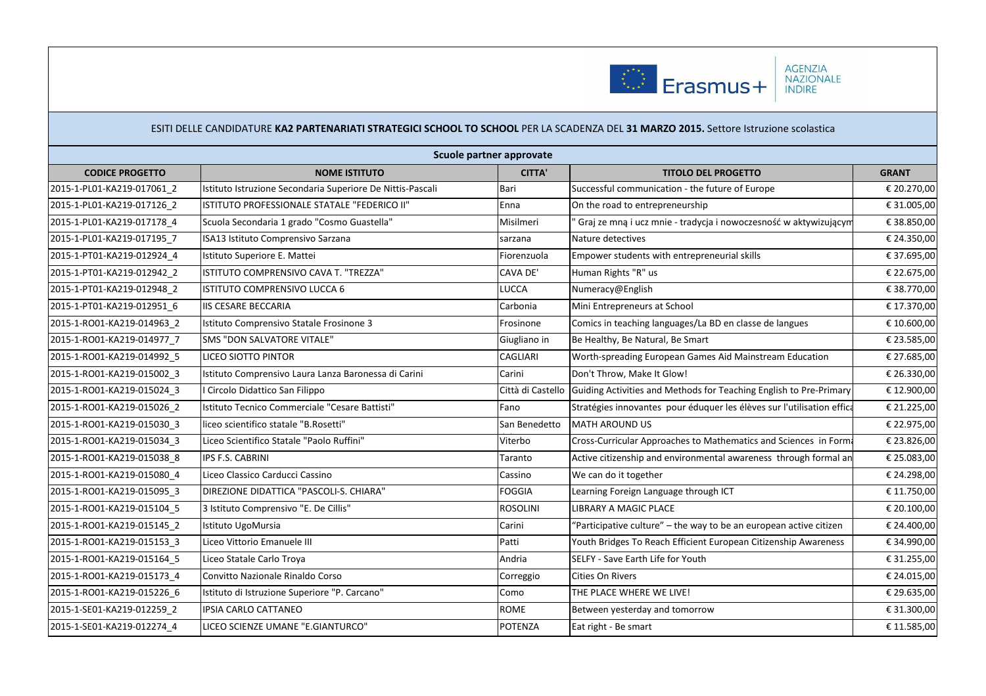

|                            |                                                            | Scuole partner approvate |                                                                                      |              |
|----------------------------|------------------------------------------------------------|--------------------------|--------------------------------------------------------------------------------------|--------------|
| <b>CODICE PROGETTO</b>     | <b>NOME ISTITUTO</b>                                       | <b>CITTA'</b>            | <b>TITOLO DEL PROGETTO</b>                                                           | <b>GRANT</b> |
| 2015-1-PL01-KA219-017061 2 | Istituto Istruzione Secondaria Superiore De Nittis-Pascali | Bari                     | Successful communication - the future of Europe                                      | € 20.270,00  |
| 2015-1-PL01-KA219-017126 2 | ISTITUTO PROFESSIONALE STATALE "FEDERICO II"               | Enna                     | On the road to entrepreneurship                                                      | € 31.005,00  |
| 2015-1-PL01-KA219-017178 4 | Scuola Secondaria 1 grado "Cosmo Guastella"                | Misilmeri                | Graj ze mna i ucz mnie - tradycja i nowoczesność w aktywizującym                     | € 38.850,00  |
| 2015-1-PL01-KA219-017195 7 | ISA13 Istituto Comprensivo Sarzana                         | sarzana                  | Nature detectives                                                                    | € 24.350,00  |
| 2015-1-PT01-KA219-012924 4 | Istituto Superiore E. Mattei                               | Fiorenzuola              | Empower students with entrepreneurial skills                                         | € 37.695,00  |
| 2015-1-PT01-KA219-012942 2 | ISTITUTO COMPRENSIVO CAVA T. "TREZZA"                      | <b>CAVA DE'</b>          | Human Rights "R" us                                                                  | € 22.675,00  |
| 2015-1-PT01-KA219-012948 2 | <b>ISTITUTO COMPRENSIVO LUCCA 6</b>                        | <b>LUCCA</b>             | Numeracy@English                                                                     | € 38.770,00  |
| 2015-1-PT01-KA219-012951 6 | <b>IIS CESARE BECCARIA</b>                                 | Carbonia                 | Mini Entrepreneurs at School                                                         | € 17.370,00  |
| 2015-1-RO01-KA219-014963 2 | Istituto Comprensivo Statale Frosinone 3                   | Frosinone                | Comics in teaching languages/La BD en classe de langues                              | € 10.600,00  |
| 2015-1-RO01-KA219-014977 7 | <b>SMS "DON SALVATORE VITALE"</b>                          | Giugliano in             | Be Healthy, Be Natural, Be Smart                                                     | € 23.585,00  |
| 2015-1-RO01-KA219-014992 5 | LICEO SIOTTO PINTOR                                        | <b>CAGLIARI</b>          | Worth-spreading European Games Aid Mainstream Education                              | € 27.685,00  |
| 2015-1-RO01-KA219-015002 3 | Istituto Comprensivo Laura Lanza Baronessa di Carini       | Carini                   | Don't Throw, Make It Glow!                                                           | € 26.330,00  |
| 2015-1-RO01-KA219-015024 3 | Circolo Didattico San Filippo                              |                          | Città di Castello Guiding Activities and Methods for Teaching English to Pre-Primary | € 12.900,00  |
| 2015-1-RO01-KA219-015026 2 | Istituto Tecnico Commerciale "Cesare Battisti"             | Fano                     | Stratégies innovantes pour éduquer les élèves sur l'utilisation effica               | € 21.225,00  |
| 2015-1-RO01-KA219-015030 3 | liceo scientifico statale "B.Rosetti"                      | San Benedetto            | <b>MATH AROUND US</b>                                                                | € 22.975,00  |
| 2015-1-RO01-KA219-015034 3 | Liceo Scientifico Statale "Paolo Ruffini"                  | Viterbo                  | Cross-Curricular Approaches to Mathematics and Sciences in Forma                     | € 23.826,00  |
| 2015-1-RO01-KA219-015038 8 | <b>IPS F.S. CABRINI</b>                                    | Taranto                  | Active citizenship and environmental awareness through formal an                     | € 25.083,00  |
| 2015-1-RO01-KA219-015080 4 | Liceo Classico Carducci Cassino                            | Cassino                  | We can do it together                                                                | € 24.298,00  |
| 2015-1-RO01-KA219-015095 3 | DIREZIONE DIDATTICA "PASCOLI-S. CHIARA"                    | <b>FOGGIA</b>            | Learning Foreign Language through ICT                                                | € 11.750,00  |
| 2015-1-RO01-KA219-015104 5 | 3 Istituto Comprensivo "E. De Cillis"                      | <b>ROSOLINI</b>          | <b>LIBRARY A MAGIC PLACE</b>                                                         | € 20.100,00  |
| 2015-1-RO01-KA219-015145 2 | Istituto UgoMursia                                         | Carini                   | "Participative culture" - the way to be an european active citizen                   | € 24.400,00  |
| 2015-1-RO01-KA219-015153 3 | Liceo Vittorio Emanuele III                                | Patti                    | Youth Bridges To Reach Efficient European Citizenship Awareness                      | € 34.990,00  |
| 2015-1-RO01-KA219-015164 5 | Liceo Statale Carlo Troya                                  | Andria                   | SELFY - Save Earth Life for Youth                                                    | € 31.255,00  |
| 2015-1-RO01-KA219-015173 4 | Convitto Nazionale Rinaldo Corso                           | Correggio                | Cities On Rivers                                                                     | € 24.015,00  |
| 2015-1-RO01-KA219-015226 6 | Istituto di Istruzione Superiore "P. Carcano"              | Como                     | THE PLACE WHERE WE LIVE!                                                             | € 29.635,00  |
| 2015-1-SE01-KA219-012259_2 | IPSIA CARLO CATTANEO                                       | <b>ROME</b>              | Between yesterday and tomorrow                                                       | € 31.300,00  |
| 2015-1-SE01-KA219-012274 4 | LICEO SCIENZE UMANE "E.GIANTURCO"                          | <b>POTENZA</b>           | Eat right - Be smart                                                                 | € 11.585,00  |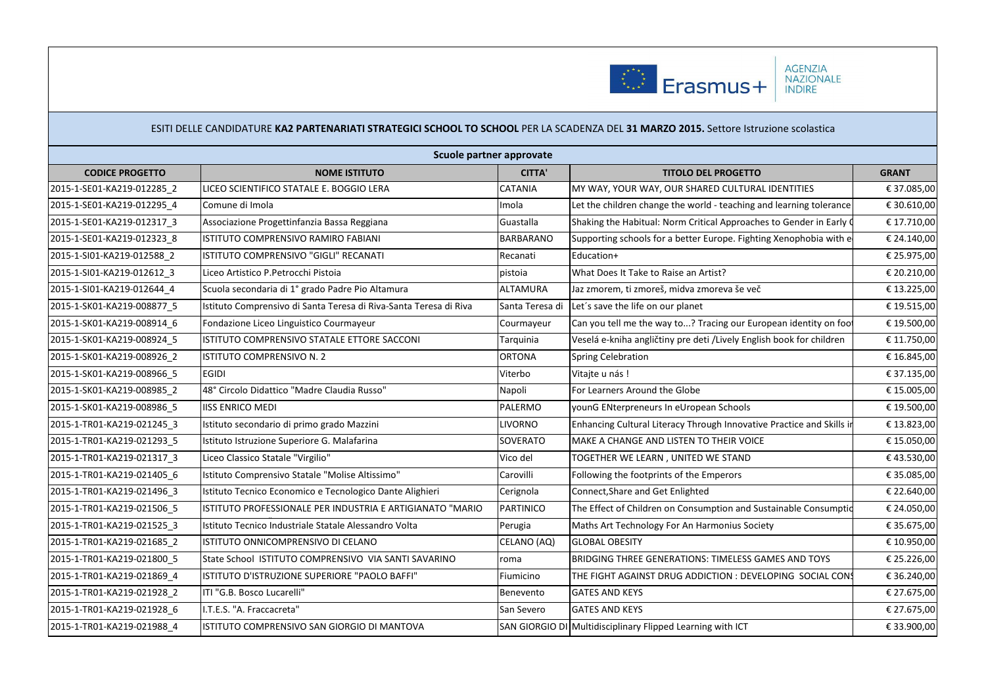

|                            |                                                                   | Scuole partner approvate |                                                                       |              |
|----------------------------|-------------------------------------------------------------------|--------------------------|-----------------------------------------------------------------------|--------------|
| <b>CODICE PROGETTO</b>     | <b>NOME ISTITUTO</b>                                              | <b>CITTA'</b>            | <b>TITOLO DEL PROGETTO</b>                                            | <b>GRANT</b> |
| 2015-1-SE01-KA219-012285 2 | LICEO SCIENTIFICO STATALE E. BOGGIO LERA                          | <b>CATANIA</b>           | MY WAY, YOUR WAY, OUR SHARED CULTURAL IDENTITIES                      | € 37.085,00  |
| 2015-1-SE01-KA219-012295 4 | Comune di Imola                                                   | Imola                    | Let the children change the world - teaching and learning tolerance   | € 30.610,00  |
| 2015-1-SE01-KA219-012317 3 | Associazione Progettinfanzia Bassa Reggiana                       | Guastalla                | Shaking the Habitual: Norm Critical Approaches to Gender in Early O   | € 17.710,00  |
| 2015-1-SE01-KA219-012323 8 | ISTITUTO COMPRENSIVO RAMIRO FABIANI                               | <b>BARBARANO</b>         | Supporting schools for a better Europe. Fighting Xenophobia with e    | € 24.140,00  |
| 2015-1-SI01-KA219-012588 2 | ISTITUTO COMPRENSIVO "GIGLI" RECANATI                             | Recanati                 | Education+                                                            | € 25.975,00  |
| 2015-1-SI01-KA219-012612 3 | Liceo Artistico P.Petrocchi Pistoia                               | pistoia                  | What Does It Take to Raise an Artist?                                 | € 20.210,00  |
| 2015-1-SI01-KA219-012644 4 | Scuola secondaria di 1º grado Padre Pio Altamura                  | <b>ALTAMURA</b>          | Jaz zmorem, ti zmoreš, midva zmoreva še več                           | € 13.225,00  |
| 2015-1-SK01-KA219-008877 5 | Istituto Comprensivo di Santa Teresa di Riva-Santa Teresa di Riva | Santa Teresa di          | Let's save the life on our planet                                     | € 19.515,00  |
| 2015-1-SK01-KA219-008914 6 | Fondazione Liceo Linguistico Courmayeur                           | Courmayeur               | Can you tell me the way to? Tracing our European identity on foot     | € 19.500,00  |
| 2015-1-SK01-KA219-008924 5 | ISTITUTO COMPRENSIVO STATALE ETTORE SACCONI                       | Tarquinia                | Veselá e-kniha angličtiny pre deti /Lively English book for children  | € 11.750,00  |
| 2015-1-SK01-KA219-008926 2 | ISTITUTO COMPRENSIVO N. 2                                         | <b>ORTONA</b>            | Spring Celebration                                                    | € 16.845,00  |
| 2015-1-SK01-KA219-008966 5 | <b>EGIDI</b>                                                      | Viterbo                  | Vitajte u nás!                                                        | € 37.135,00  |
| 2015-1-SK01-KA219-008985 2 | 48° Circolo Didattico "Madre Claudia Russo"                       | Napoli                   | For Learners Around the Globe                                         | € 15.005,00  |
| 2015-1-SK01-KA219-008986 5 | <b>IISS ENRICO MEDI</b>                                           | PALERMO                  | younG ENterpreneurs In eUropean Schools                               | € 19.500,00  |
| 2015-1-TR01-KA219-021245 3 | Istituto secondario di primo grado Mazzini                        | <b>LIVORNO</b>           | Enhancing Cultural Literacy Through Innovative Practice and Skills in | € 13.823,00  |
| 2015-1-TR01-KA219-021293 5 | Istituto Istruzione Superiore G. Malafarina                       | SOVERATO                 | MAKE A CHANGE AND LISTEN TO THEIR VOICE                               | € 15.050,00  |
| 2015-1-TR01-KA219-021317 3 | Liceo Classico Statale "Virgilio"                                 | Vico del                 | TOGETHER WE LEARN, UNITED WE STAND                                    | €43.530,00   |
| 2015-1-TR01-KA219-021405 6 | Istituto Comprensivo Statale "Molise Altissimo"                   | Carovilli                | Following the footprints of the Emperors                              | € 35.085,00  |
| 2015-1-TR01-KA219-021496 3 | Istituto Tecnico Economico e Tecnologico Dante Alighieri          | Cerignola                | Connect, Share and Get Enlighted                                      | € 22.640,00  |
| 2015-1-TR01-KA219-021506 5 | ISTITUTO PROFESSIONALE PER INDUSTRIA E ARTIGIANATO "MARIO         | <b>PARTINICO</b>         | The Effect of Children on Consumption and Sustainable Consumptid      | € 24.050,00  |
| 2015-1-TR01-KA219-021525 3 | Istituto Tecnico Industriale Statale Alessandro Volta             | Perugia                  | Maths Art Technology For An Harmonius Society                         | € 35.675,00  |
| 2015-1-TR01-KA219-021685 2 | ISTITUTO ONNICOMPRENSIVO DI CELANO                                | CELANO (AQ)              | <b>GLOBAL OBESITY</b>                                                 | € 10.950,00  |
| 2015-1-TR01-KA219-021800 5 | State School ISTITUTO COMPRENSIVO VIA SANTI SAVARINO              | roma                     | BRIDGING THREE GENERATIONS: TIMELESS GAMES AND TOYS                   | € 25.226,00  |
| 2015-1-TR01-KA219-021869 4 | ISTITUTO D'ISTRUZIONE SUPERIORE "PAOLO BAFFI"                     | Fiumicino                | THE FIGHT AGAINST DRUG ADDICTION : DEVELOPING SOCIAL CONS             | € 36.240,00  |
| 2015-1-TR01-KA219-021928 2 | ITI "G.B. Bosco Lucarelli"                                        | Benevento                | <b>GATES AND KEYS</b>                                                 | € 27.675,00  |
| 2015-1-TR01-KA219-021928 6 | I.T.E.S. "A. Fraccacreta"                                         | San Severo               | <b>GATES AND KEYS</b>                                                 | € 27.675,00  |
| 2015-1-TR01-KA219-021988 4 | ISTITUTO COMPRENSIVO SAN GIORGIO DI MANTOVA                       |                          | SAN GIORGIO DI Multidisciplinary Flipped Learning with ICT            | € 33.900,00  |